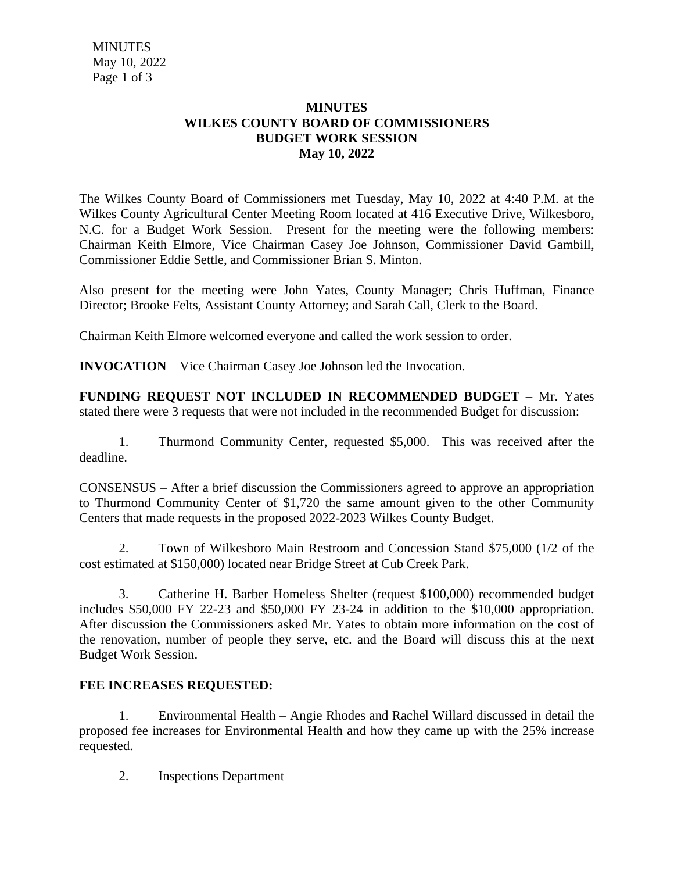**MINUTES**  May 10, 2022 Page 1 of 3

## **MINUTES WILKES COUNTY BOARD OF COMMISSIONERS BUDGET WORK SESSION May 10, 2022**

The Wilkes County Board of Commissioners met Tuesday, May 10, 2022 at 4:40 P.M. at the Wilkes County Agricultural Center Meeting Room located at 416 Executive Drive, Wilkesboro, N.C. for a Budget Work Session. Present for the meeting were the following members: Chairman Keith Elmore, Vice Chairman Casey Joe Johnson, Commissioner David Gambill, Commissioner Eddie Settle, and Commissioner Brian S. Minton.

Also present for the meeting were John Yates, County Manager; Chris Huffman, Finance Director; Brooke Felts, Assistant County Attorney; and Sarah Call, Clerk to the Board.

Chairman Keith Elmore welcomed everyone and called the work session to order.

**INVOCATION** – Vice Chairman Casey Joe Johnson led the Invocation.

**FUNDING REQUEST NOT INCLUDED IN RECOMMENDED BUDGET** – Mr. Yates stated there were 3 requests that were not included in the recommended Budget for discussion:

1. Thurmond Community Center, requested \$5,000. This was received after the deadline.

CONSENSUS – After a brief discussion the Commissioners agreed to approve an appropriation to Thurmond Community Center of \$1,720 the same amount given to the other Community Centers that made requests in the proposed 2022-2023 Wilkes County Budget.

2. Town of Wilkesboro Main Restroom and Concession Stand \$75,000 (1/2 of the cost estimated at \$150,000) located near Bridge Street at Cub Creek Park.

3. Catherine H. Barber Homeless Shelter (request \$100,000) recommended budget includes \$50,000 FY 22-23 and \$50,000 FY 23-24 in addition to the \$10,000 appropriation. After discussion the Commissioners asked Mr. Yates to obtain more information on the cost of the renovation, number of people they serve, etc. and the Board will discuss this at the next Budget Work Session.

## **FEE INCREASES REQUESTED:**

1. Environmental Health – Angie Rhodes and Rachel Willard discussed in detail the proposed fee increases for Environmental Health and how they came up with the 25% increase requested.

2. Inspections Department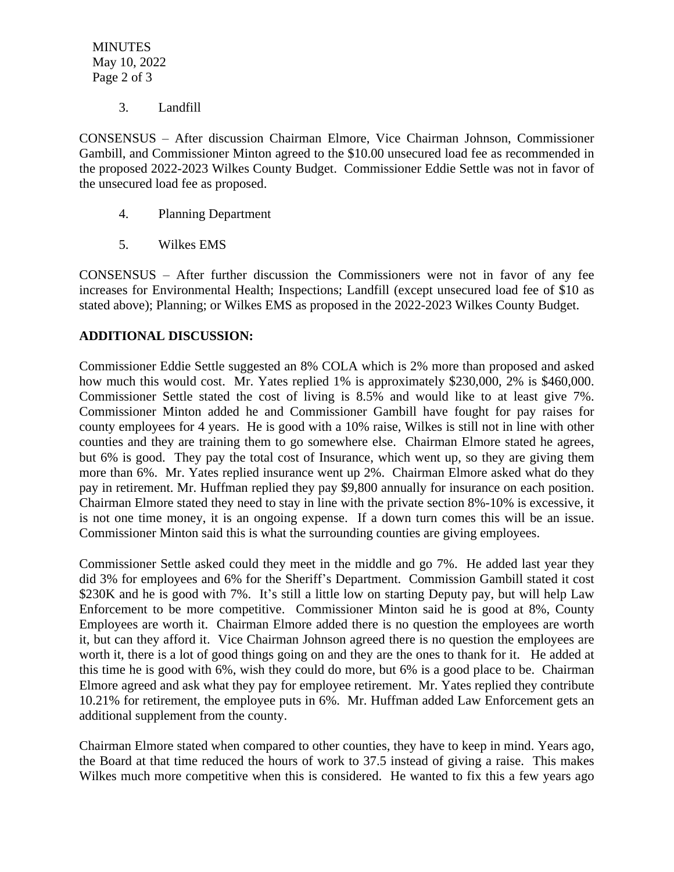**MINUTES**  May 10, 2022 Page 2 of 3

3. Landfill

CONSENSUS – After discussion Chairman Elmore, Vice Chairman Johnson, Commissioner Gambill, and Commissioner Minton agreed to the \$10.00 unsecured load fee as recommended in the proposed 2022-2023 Wilkes County Budget. Commissioner Eddie Settle was not in favor of the unsecured load fee as proposed.

- 4. Planning Department
- 5. Wilkes EMS

CONSENSUS – After further discussion the Commissioners were not in favor of any fee increases for Environmental Health; Inspections; Landfill (except unsecured load fee of \$10 as stated above); Planning; or Wilkes EMS as proposed in the 2022-2023 Wilkes County Budget.

## **ADDITIONAL DISCUSSION:**

Commissioner Eddie Settle suggested an 8% COLA which is 2% more than proposed and asked how much this would cost. Mr. Yates replied 1% is approximately \$230,000, 2% is \$460,000. Commissioner Settle stated the cost of living is 8.5% and would like to at least give 7%. Commissioner Minton added he and Commissioner Gambill have fought for pay raises for county employees for 4 years. He is good with a 10% raise, Wilkes is still not in line with other counties and they are training them to go somewhere else. Chairman Elmore stated he agrees, but 6% is good. They pay the total cost of Insurance, which went up, so they are giving them more than 6%. Mr. Yates replied insurance went up 2%. Chairman Elmore asked what do they pay in retirement. Mr. Huffman replied they pay \$9,800 annually for insurance on each position. Chairman Elmore stated they need to stay in line with the private section 8%-10% is excessive, it is not one time money, it is an ongoing expense. If a down turn comes this will be an issue. Commissioner Minton said this is what the surrounding counties are giving employees.

Commissioner Settle asked could they meet in the middle and go 7%. He added last year they did 3% for employees and 6% for the Sheriff's Department. Commission Gambill stated it cost \$230K and he is good with 7%. It's still a little low on starting Deputy pay, but will help Law Enforcement to be more competitive. Commissioner Minton said he is good at 8%, County Employees are worth it. Chairman Elmore added there is no question the employees are worth it, but can they afford it. Vice Chairman Johnson agreed there is no question the employees are worth it, there is a lot of good things going on and they are the ones to thank for it. He added at this time he is good with 6%, wish they could do more, but 6% is a good place to be. Chairman Elmore agreed and ask what they pay for employee retirement. Mr. Yates replied they contribute 10.21% for retirement, the employee puts in 6%. Mr. Huffman added Law Enforcement gets an additional supplement from the county.

Chairman Elmore stated when compared to other counties, they have to keep in mind. Years ago, the Board at that time reduced the hours of work to 37.5 instead of giving a raise. This makes Wilkes much more competitive when this is considered. He wanted to fix this a few years ago